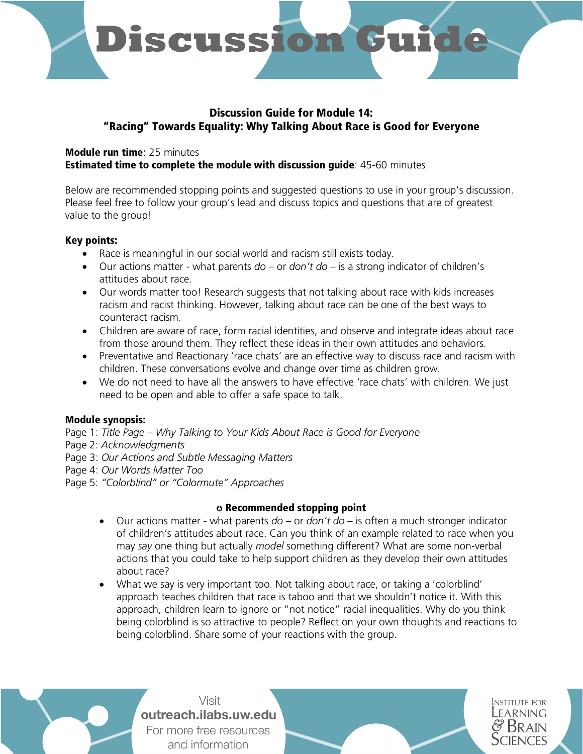

# Discussion Guide for Module 14: "Racing" Towards Equality: Why Talking About Race is Good for Everyone

## Module run time: 25 minutes Estimated time to complete the module with discussion guide: 45-60 minutes

Below are recommended stopping points and suggested questions to use in your group's discussion. Please feel free to follow your group's lead and discuss topics and questions that are of greatest value to the group!

## Key points:

- Race is meaningful in our social world and racism still exists today.
- Our actions matter what parents *do* or *don't do* is a strong indicator of children's attitudes about race.
- Our words matter too! Research suggests that not talking about race with kids increases racism and racist thinking. However, talking about race can be one of the best ways to counteract racism.
- Children are aware of race, form racial identities, and observe and integrate ideas about race from those around them. They reflect these ideas in their own attitudes and behaviors.
- Preventative and Reactionary 'race chats' are an effective way to discuss race and racism with children. These conversations evolve and change over time as children grow.
- We do not need to have all the answers to have effective 'race chats' with children. We just need to be open and able to offer a safe space to talk.

## Module synopsis:

- Page 1: *Title Page – Why Talking to Your Kids About Race is Good for Everyone*
- Page 2: *Acknowledgments*
- Page 3: *Our Actions and Subtle Messaging Matters*
- Page 4: *Our Words Matter Too*
- Page 5: *"Colorblind" or "Colormute" Approaches*

## ✪ Recommended stopping point

- Our actions matter what parents *do* or *don't do* is often a much stronger indicator of children's attitudes about race. Can you think of an example related to race when you may *say* one thing but actually *model* something different? What are some non-verbal actions that you could take to help support children as they develop their own attitudes about race?
- What we say is very important too. Not talking about race, or taking a 'colorblind' approach teaches children that race is taboo and that we shouldn't notice it. With this approach, children learn to ignore or "not notice" racial inequalities. Why do you think being colorblind is so attractive to people? Reflect on your own thoughts and reactions to being colorblind. Share some of your reactions with the group.

**INSTITUTE FOR** LEARNING

Visit outreach.ilabs.uw.edu For more free resources and information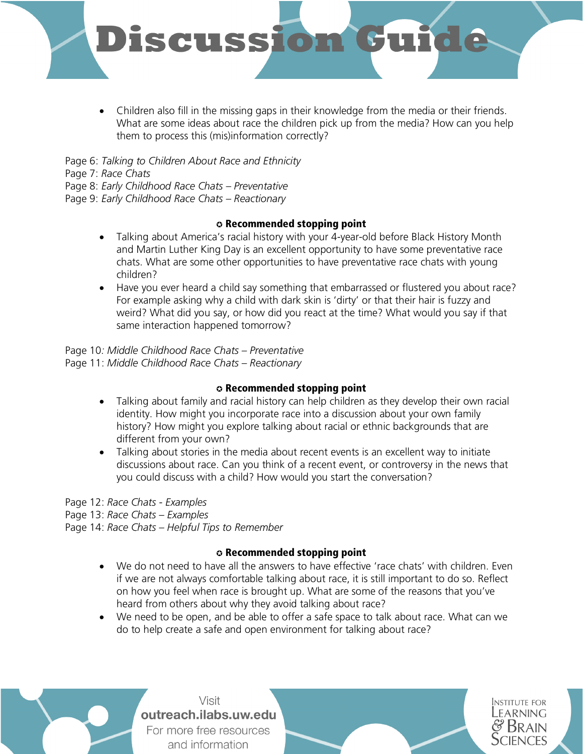

• Children also fill in the missing gaps in their knowledge from the media or their friends. What are some ideas about race the children pick up from the media? How can you help them to process this (mis)information correctly?

Page 6: *Talking to Children About Race and Ethnicity* 

Page 7: *Race Chats*

Page 8: *Early Childhood Race Chats – Preventative* 

Page 9: *Early Childhood Race Chats – Reactionary* 

## ✪ Recommended stopping point

- Talking about America's racial history with your 4-year-old before Black History Month and Martin Luther King Day is an excellent opportunity to have some preventative race chats. What are some other opportunities to have preventative race chats with young children?
- Have you ever heard a child say something that embarrassed or flustered you about race? For example asking why a child with dark skin is 'dirty' or that their hair is fuzzy and weird? What did you say, or how did you react at the time? What would you say if that same interaction happened tomorrow?

Page 10*: Middle Childhood Race Chats – Preventative*  Page 11: *Middle Childhood Race Chats – Reactionary* 

## ✪ Recommended stopping point

- Talking about family and racial history can help children as they develop their own racial identity. How might you incorporate race into a discussion about your own family history? How might you explore talking about racial or ethnic backgrounds that are different from your own?
- Talking about stories in the media about recent events is an excellent way to initiate discussions about race. Can you think of a recent event, or controversy in the news that you could discuss with a child? How would you start the conversation?

Page 12: *Race Chats - Examples*

Page 13: *Race Chats – Examples*

Page 14: *Race Chats – Helpful Tips to Remember*

## ✪ Recommended stopping point

- We do not need to have all the answers to have effective 'race chats' with children. Even if we are not always comfortable talking about race, it is still important to do so. Reflect on how you feel when race is brought up. What are some of the reasons that you've heard from others about why they avoid talking about race?
- We need to be open, and be able to offer a safe space to talk about race. What can we do to help create a safe and open environment for talking about race?

**INSTITUTE FOR** Learning

**AIN** 

Visit outreach.ilabs.uw.edu For more free resources and information